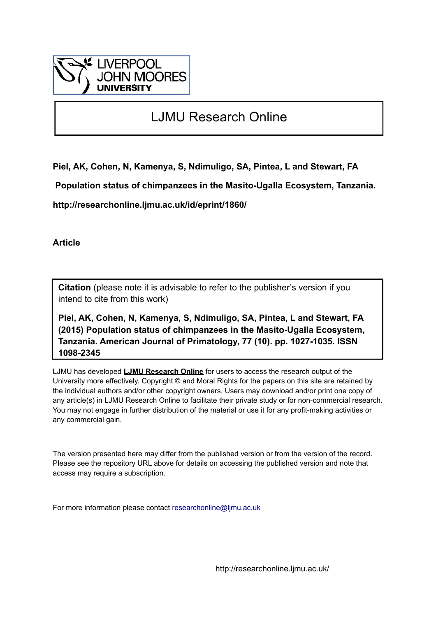

# LJMU Research Online

**Piel, AK, Cohen, N, Kamenya, S, Ndimuligo, SA, Pintea, L and Stewart, FA**

 **Population status of chimpanzees in the Masito-Ugalla Ecosystem, Tanzania.**

**http://researchonline.ljmu.ac.uk/id/eprint/1860/**

**Article**

**Citation** (please note it is advisable to refer to the publisher's version if you intend to cite from this work)

**Piel, AK, Cohen, N, Kamenya, S, Ndimuligo, SA, Pintea, L and Stewart, FA (2015) Population status of chimpanzees in the Masito-Ugalla Ecosystem, Tanzania. American Journal of Primatology, 77 (10). pp. 1027-1035. ISSN 1098-2345** 

LJMU has developed **[LJMU Research Online](http://researchonline.ljmu.ac.uk/)** for users to access the research output of the University more effectively. Copyright © and Moral Rights for the papers on this site are retained by the individual authors and/or other copyright owners. Users may download and/or print one copy of any article(s) in LJMU Research Online to facilitate their private study or for non-commercial research. You may not engage in further distribution of the material or use it for any profit-making activities or any commercial gain.

The version presented here may differ from the published version or from the version of the record. Please see the repository URL above for details on accessing the published version and note that access may require a subscription.

For more information please contact [researchonline@ljmu.ac.uk](mailto:researchonline@ljmu.ac.uk)

http://researchonline.ljmu.ac.uk/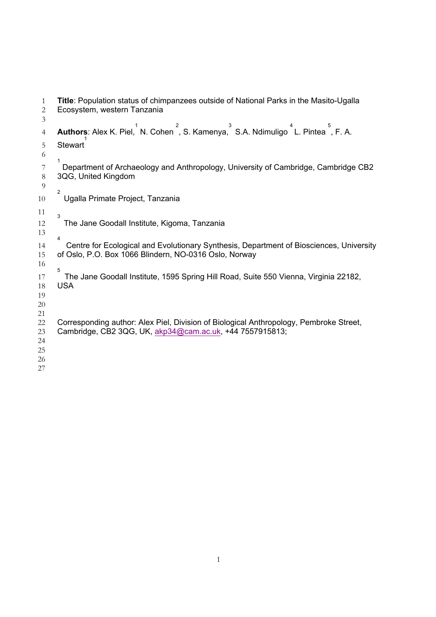| <b>Title:</b> Population status of chimpanzees outside of National Parks in the Masito-Ugalla<br>Ecosystem, western Tanzania                          |
|-------------------------------------------------------------------------------------------------------------------------------------------------------|
| $\overline{2}$<br>3<br>Authors: Alex K. Piel, N. Cohen, S. Kamenya, S.A. Ndimuligo L. Pintea, F. A.                                                   |
| <b>Stewart</b><br>1                                                                                                                                   |
| Department of Archaeology and Anthropology, University of Cambridge, Cambridge CB2<br>3QG, United Kingdom                                             |
| $\overline{2}$<br>Ugalla Primate Project, Tanzania                                                                                                    |
| 3<br>The Jane Goodall Institute, Kigoma, Tanzania                                                                                                     |
| 4<br>Centre for Ecological and Evolutionary Synthesis, Department of Biosciences, University<br>of Oslo, P.O. Box 1066 Blindern, NO-0316 Oslo, Norway |
| 5<br>The Jane Goodall Institute, 1595 Spring Hill Road, Suite 550 Vienna, Virginia 22182,<br><b>USA</b>                                               |
| Corresponding author: Alex Piel, Division of Biological Anthropology, Pembroke Street,<br>Cambridge, CB2 3QG, UK, akp34@cam.ac.uk, +44 7557915813;    |
|                                                                                                                                                       |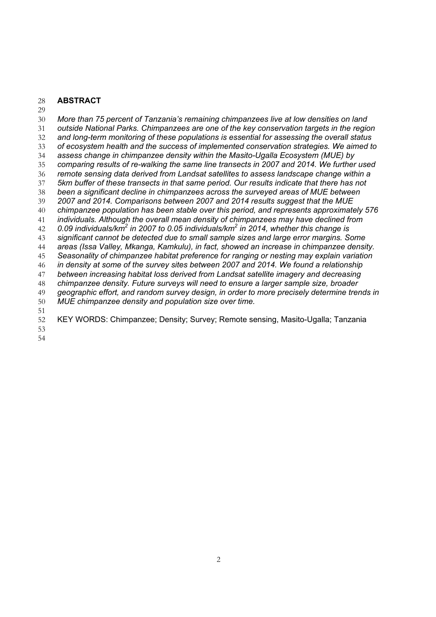#### **ABSTRACT**

 *More than 75 percent of Tanzania's remaining chimpanzees live at low densities on land outside National Parks. Chimpanzees are one of the key conservation targets in the region and long-term monitoring of these populations is essential for assessing the overall status of ecosystem health and the success of implemented conservation strategies. We aimed to assess change in chimpanzee density within the Masito-Ugalla Ecosystem (MUE) by comparing results of re-walking the same line transects in 2007 and 2014. We further used remote sensing data derived from Landsat satellites to assess landscape change within a 5km buffer of these transects in that same period. Our results indicate that there has not been a significant decline in chimpanzees across the surveyed areas of MUE between 2007 and 2014. Comparisons between 2007 and 2014 results suggest that the MUE chimpanzee population has been stable over this period, and represents approximately 576 individuals. Although the overall mean density of chimpanzees may have declined from 0.09 individuals/km<sup>2</sup> in 2007 to 0.05 individuals/km<sup>2</sup> in 2014, whether this change is significant cannot be detected due to small sample sizes and large error margins. Some areas (Issa Valley, Mkanga, Kamkulu), in fact, showed an increase in chimpanzee density. Seasonality of chimpanzee habitat preference for ranging or nesting may explain variation in density at some of the survey sites between 2007 and 2014. We found a relationship between increasing habitat loss derived from Landsat satellite imagery and decreasing chimpanzee density. Future surveys will need to ensure a larger sample size, broader geographic effort, and random survey design, in order to more precisely determine trends in MUE chimpanzee density and population size over time.* KEY WORDS: Chimpanzee; Density; Survey; Remote sensing, Masito-Ugalla; Tanzania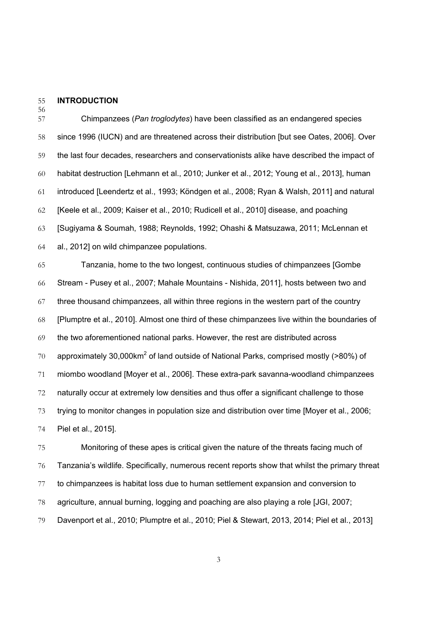#### **INTRODUCTION**

 Chimpanzees (*Pan troglodytes*) have been classified as an endangered species since 1996 (IUCN) and are threatened across their distribution [but see Oates, 2006]. Over the last four decades, researchers and conservationists alike have described the impact of habitat destruction [Lehmann et al., 2010; Junker et al., 2012; Young et al., 2013], human introduced [Leendertz et al., 1993; Köndgen et al., 2008; Ryan & Walsh, 2011] and natural [Keele et al., 2009; Kaiser et al., 2010; Rudicell et al., 2010] disease, and poaching [Sugiyama & Soumah, 1988; Reynolds, 1992; Ohashi & Matsuzawa, 2011; McLennan et al., 2012] on wild chimpanzee populations.

 Tanzania, home to the two longest, continuous studies of chimpanzees [Gombe Stream - Pusey et al., 2007; Mahale Mountains - Nishida, 2011], hosts between two and three thousand chimpanzees, all within three regions in the western part of the country [Plumptre et al., 2010]. Almost one third of these chimpanzees live within the boundaries of the two aforementioned national parks. However, the rest are distributed across 70 approximately 30,000 km<sup>2</sup> of land outside of National Parks, comprised mostly (>80%) of miombo woodland [Moyer et al., 2006]. These extra-park savanna-woodland chimpanzees naturally occur at extremely low densities and thus offer a significant challenge to those trying to monitor changes in population size and distribution over time [Moyer et al., 2006; Piel et al., 2015].

 Monitoring of these apes is critical given the nature of the threats facing much of Tanzania's wildlife. Specifically, numerous recent reports show that whilst the primary threat to chimpanzees is habitat loss due to human settlement expansion and conversion to agriculture, annual burning, logging and poaching are also playing a role [JGI, 2007; Davenport et al., 2010; Plumptre et al., 2010; Piel & Stewart, 2013, 2014; Piel et al., 2013]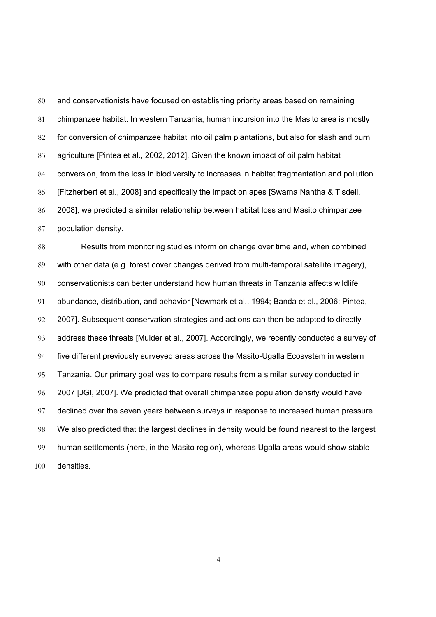and conservationists have focused on establishing priority areas based on remaining chimpanzee habitat. In western Tanzania, human incursion into the Masito area is mostly for conversion of chimpanzee habitat into oil palm plantations, but also for slash and burn agriculture [Pintea et al., 2002, 2012]. Given the known impact of oil palm habitat conversion, from the loss in biodiversity to increases in habitat fragmentation and pollution [Fitzherbert et al., 2008] and specifically the impact on apes [Swarna Nantha & Tisdell, 2008], we predicted a similar relationship between habitat loss and Masito chimpanzee population density.

 Results from monitoring studies inform on change over time and, when combined with other data (e.g. forest cover changes derived from multi-temporal satellite imagery), conservationists can better understand how human threats in Tanzania affects wildlife abundance, distribution, and behavior [Newmark et al., 1994; Banda et al., 2006; Pintea, 2007]. Subsequent conservation strategies and actions can then be adapted to directly address these threats [Mulder et al., 2007]. Accordingly, we recently conducted a survey of five different previously surveyed areas across the Masito-Ugalla Ecosystem in western Tanzania. Our primary goal was to compare results from a similar survey conducted in 2007 [JGI, 2007]. We predicted that overall chimpanzee population density would have 97 declined over the seven years between surveys in response to increased human pressure. We also predicted that the largest declines in density would be found nearest to the largest human settlements (here, in the Masito region), whereas Ugalla areas would show stable densities.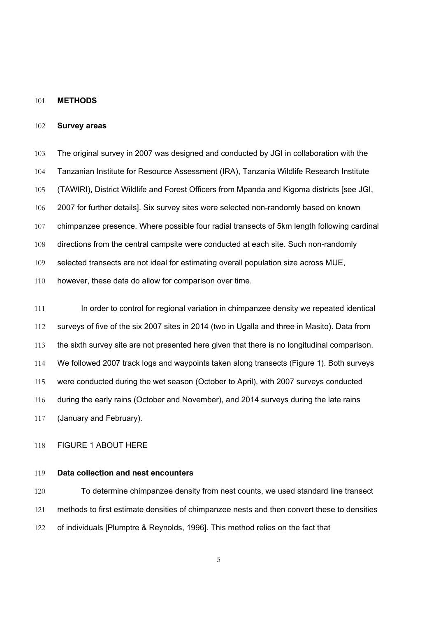#### **METHODS**

### **Survey areas**

 The original survey in 2007 was designed and conducted by JGI in collaboration with the Tanzanian Institute for Resource Assessment (IRA), Tanzania Wildlife Research Institute (TAWIRI), District Wildlife and Forest Officers from Mpanda and Kigoma districts [see JGI, 2007 for further details]. Six survey sites were selected non-randomly based on known chimpanzee presence. Where possible four radial transects of 5km length following cardinal 108 directions from the central campsite were conducted at each site. Such non-randomly selected transects are not ideal for estimating overall population size across MUE,

however, these data do allow for comparison over time.

111 In order to control for regional variation in chimpanzee density we repeated identical surveys of five of the six 2007 sites in 2014 (two in Ugalla and three in Masito). Data from the sixth survey site are not presented here given that there is no longitudinal comparison. We followed 2007 track logs and waypoints taken along transects (Figure 1). Both surveys were conducted during the wet season (October to April), with 2007 surveys conducted during the early rains (October and November), and 2014 surveys during the late rains (January and February).

# FIGURE 1 ABOUT HERE

# **Data collection and nest encounters**

 To determine chimpanzee density from nest counts, we used standard line transect methods to first estimate densities of chimpanzee nests and then convert these to densities of individuals [Plumptre & Reynolds, 1996]. This method relies on the fact that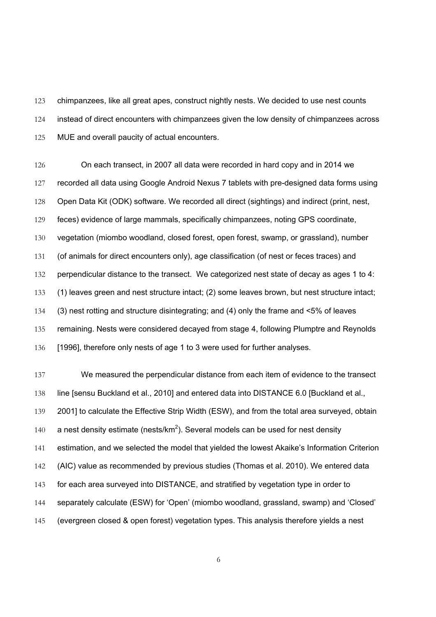chimpanzees, like all great apes, construct nightly nests. We decided to use nest counts instead of direct encounters with chimpanzees given the low density of chimpanzees across 125 MUE and overall paucity of actual encounters.

 On each transect, in 2007 all data were recorded in hard copy and in 2014 we recorded all data using Google Android Nexus 7 tablets with pre-designed data forms using Open Data Kit (ODK) software. We recorded all direct (sightings) and indirect (print, nest, feces) evidence of large mammals, specifically chimpanzees, noting GPS coordinate, vegetation (miombo woodland, closed forest, open forest, swamp, or grassland), number (of animals for direct encounters only), age classification (of nest or feces traces) and 132 perpendicular distance to the transect. We categorized nest state of decay as ages 1 to 4: (1) leaves green and nest structure intact; (2) some leaves brown, but nest structure intact; (3) nest rotting and structure disintegrating; and (4) only the frame and <5% of leaves remaining. Nests were considered decayed from stage 4, following Plumptre and Reynolds [1996], therefore only nests of age 1 to 3 were used for further analyses.

 We measured the perpendicular distance from each item of evidence to the transect line [sensu Buckland et al., 2010] and entered data into DISTANCE 6.0 [Buckland et al., 2001] to calculate the Effective Strip Width (ESW), and from the total area surveyed, obtain 140 a nest density estimate (nests/km<sup>2</sup>). Several models can be used for nest density estimation, and we selected the model that yielded the lowest Akaike's Information Criterion (AIC) value as recommended by previous studies (Thomas et al. 2010). We entered data 143 for each area surveyed into DISTANCE, and stratified by vegetation type in order to separately calculate (ESW) for 'Open' (miombo woodland, grassland, swamp) and 'Closed' (evergreen closed & open forest) vegetation types. This analysis therefore yields a nest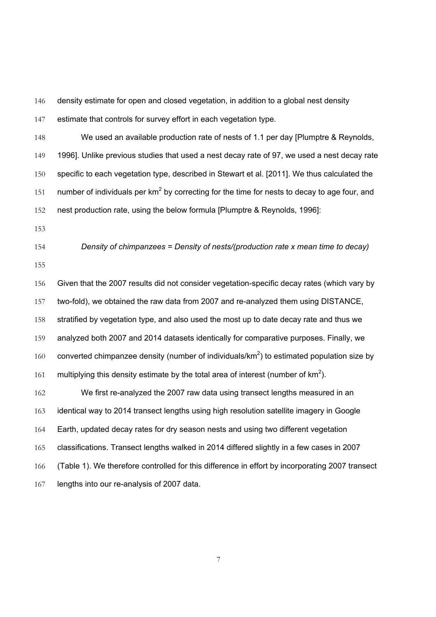density estimate for open and closed vegetation, in addition to a global nest density 147 estimate that controls for survey effort in each vegetation type.

 We used an available production rate of nests of 1.1 per day [Plumptre & Reynolds, 1996]. Unlike previous studies that used a nest decay rate of 97, we used a nest decay rate specific to each vegetation type, described in Stewart et al. [2011]. We thus calculated the 151 number of individuals per  $km^2$  by correcting for the time for nests to decay to age four, and nest production rate, using the below formula [Plumptre & Reynolds, 1996]:

 *Density of chimpanzees = Density of nests/(production rate x mean time to decay)* 

 Given that the 2007 results did not consider vegetation-specific decay rates (which vary by two-fold), we obtained the raw data from 2007 and re-analyzed them using DISTANCE, stratified by vegetation type, and also used the most up to date decay rate and thus we analyzed both 2007 and 2014 datasets identically for comparative purposes. Finally, we 160 converted chimpanzee density (number of individuals/ $km^2$ ) to estimated population size by 161 multiplying this density estimate by the total area of interest (number of  $km^2$ ). We first re-analyzed the 2007 raw data using transect lengths measured in an identical way to 2014 transect lengths using high resolution satellite imagery in Google Earth, updated decay rates for dry season nests and using two different vegetation classifications. Transect lengths walked in 2014 differed slightly in a few cases in 2007

(Table 1). We therefore controlled for this difference in effort by incorporating 2007 transect

lengths into our re-analysis of 2007 data.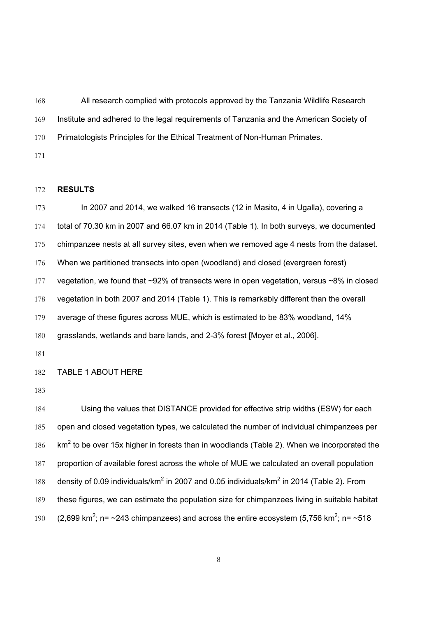All research complied with protocols approved by the Tanzania Wildlife Research Institute and adhered to the legal requirements of Tanzania and the American Society of Primatologists Principles for the Ethical Treatment of Non-Human Primates.

# **RESULTS**

 In 2007 and 2014, we walked 16 transects (12 in Masito, 4 in Ugalla), covering a total of 70.30 km in 2007 and 66.07 km in 2014 (Table 1). In both surveys, we documented chimpanzee nests at all survey sites, even when we removed age 4 nests from the dataset. When we partitioned transects into open (woodland) and closed (evergreen forest) 177 vegetation, we found that ~92% of transects were in open vegetation, versus ~8% in closed 178 vegetation in both 2007 and 2014 (Table 1). This is remarkably different than the overall average of these figures across MUE, which is estimated to be 83% woodland, 14% grasslands, wetlands and bare lands, and 2-3% forest [Moyer et al., 2006].

#### TABLE 1 ABOUT HERE

 Using the values that DISTANCE provided for effective strip widths (ESW) for each open and closed vegetation types, we calculated the number of individual chimpanzees per  $\mathrm{km^2}$  to be over 15x higher in forests than in woodlands (Table 2). When we incorporated the proportion of available forest across the whole of MUE we calculated an overall population 188 density of 0.09 individuals/ $km^2$  in 2007 and 0.05 individuals/ $km^2$  in 2014 (Table 2). From these figures, we can estimate the population size for chimpanzees living in suitable habitat 190 (2,699 km<sup>2</sup>; n= ~243 chimpanzees) and across the entire ecosystem (5,756 km<sup>2</sup>; n= ~518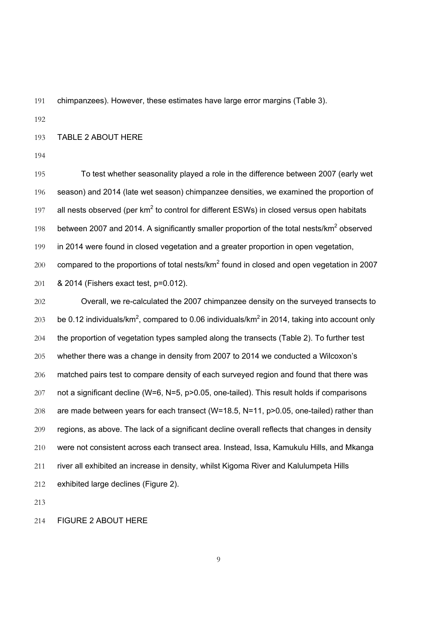chimpanzees). However, these estimates have large error margins (Table 3).

TABLE 2 ABOUT HERE

 To test whether seasonality played a role in the difference between 2007 (early wet season) and 2014 (late wet season) chimpanzee densities, we examined the proportion of 197 all nests observed (per  $km^2$  to control for different ESWs) in closed versus open habitats 198 between 2007 and 2014. A significantly smaller proportion of the total nests/ $km^2$  observed in 2014 were found in closed vegetation and a greater proportion in open vegetation, compared to the proportions of total nests/km<sup>2</sup> found in closed and open vegetation in 2007 & 2014 (Fishers exact test, p=0.012).

 Overall, we re-calculated the 2007 chimpanzee density on the surveyed transects to 203 be 0.12 individuals/km<sup>2</sup>, compared to 0.06 individuals/km<sup>2</sup> in 2014, taking into account only 204 the proportion of vegetation types sampled along the transects (Table 2). To further test whether there was a change in density from 2007 to 2014 we conducted a Wilcoxon's matched pairs test to compare density of each surveyed region and found that there was 207 not a significant decline (W=6, N=5, p>0.05, one-tailed). This result holds if comparisons are made between years for each transect (W=18.5, N=11, p>0.05, one-tailed) rather than regions, as above. The lack of a significant decline overall reflects that changes in density were not consistent across each transect area. Instead, Issa, Kamukulu Hills, and Mkanga river all exhibited an increase in density, whilst Kigoma River and Kalulumpeta Hills exhibited large declines (Figure 2).

FIGURE 2 ABOUT HERE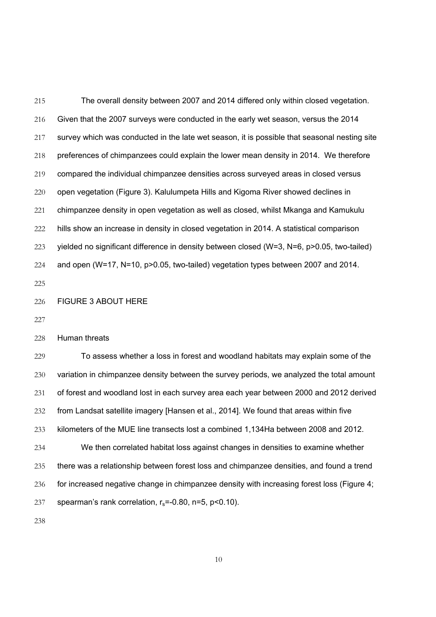The overall density between 2007 and 2014 differed only within closed vegetation. Given that the 2007 surveys were conducted in the early wet season, versus the 2014 survey which was conducted in the late wet season, it is possible that seasonal nesting site preferences of chimpanzees could explain the lower mean density in 2014. We therefore compared the individual chimpanzee densities across surveyed areas in closed versus open vegetation (Figure 3). Kalulumpeta Hills and Kigoma River showed declines in chimpanzee density in open vegetation as well as closed, whilst Mkanga and Kamukulu hills show an increase in density in closed vegetation in 2014. A statistical comparison yielded no significant difference in density between closed (W=3, N=6, p>0.05, two-tailed) and open (W=17, N=10, p>0.05, two-tailed) vegetation types between 2007 and 2014. 

FIGURE 3 ABOUT HERE

Human threats

 To assess whether a loss in forest and woodland habitats may explain some of the variation in chimpanzee density between the survey periods, we analyzed the total amount of forest and woodland lost in each survey area each year between 2000 and 2012 derived from Landsat satellite imagery [Hansen et al., 2014]. We found that areas within five kilometers of the MUE line transects lost a combined 1,134Ha between 2008 and 2012. We then correlated habitat loss against changes in densities to examine whether there was a relationship between forest loss and chimpanzee densities, and found a trend for increased negative change in chimpanzee density with increasing forest loss (Figure 4; 237 spearman's rank correlation,  $r_s = -0.80$ ,  $n = 5$ ,  $p < 0.10$ ).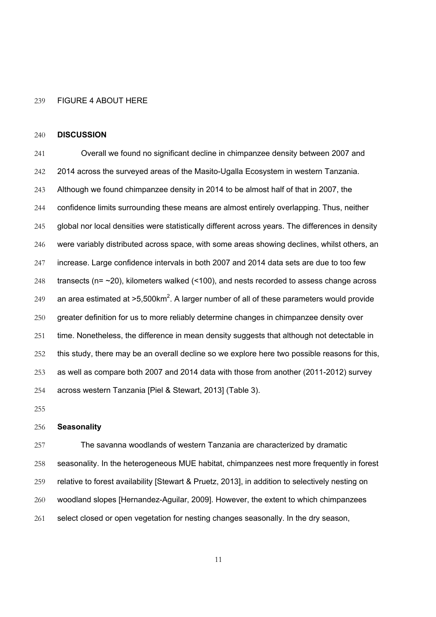#### FIGURE 4 ABOUT HERE

#### **DISCUSSION**

 Overall we found no significant decline in chimpanzee density between 2007 and 2014 across the surveyed areas of the Masito-Ugalla Ecosystem in western Tanzania. Although we found chimpanzee density in 2014 to be almost half of that in 2007, the confidence limits surrounding these means are almost entirely overlapping. Thus, neither global nor local densities were statistically different across years. The differences in density 246 were variably distributed across space, with some areas showing declines, whilst others, an increase. Large confidence intervals in both 2007 and 2014 data sets are due to too few 248 transects (n=  $\sim$ 20), kilometers walked (<100), and nests recorded to assess change across 249 an area estimated at  $>5,500$ km<sup>2</sup>. A larger number of all of these parameters would provide greater definition for us to more reliably determine changes in chimpanzee density over 251 time. Nonetheless, the difference in mean density suggests that although not detectable in this study, there may be an overall decline so we explore here two possible reasons for this, as well as compare both 2007 and 2014 data with those from another (2011-2012) survey across western Tanzania [Piel & Stewart, 2013] (Table 3).

#### **Seasonality**

 The savanna woodlands of western Tanzania are characterized by dramatic 258 seasonality. In the heterogeneous MUE habitat, chimpanzees nest more frequently in forest relative to forest availability [Stewart & Pruetz, 2013], in addition to selectively nesting on woodland slopes [Hernandez-Aguilar, 2009]. However, the extent to which chimpanzees select closed or open vegetation for nesting changes seasonally. In the dry season,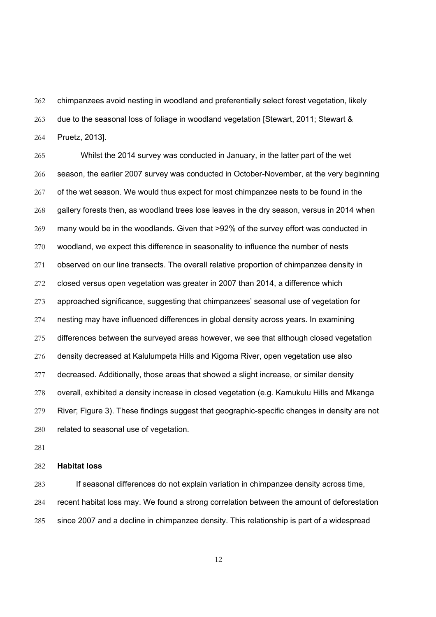chimpanzees avoid nesting in woodland and preferentially select forest vegetation, likely due to the seasonal loss of foliage in woodland vegetation [Stewart, 2011; Stewart & Pruetz, 2013].

 Whilst the 2014 survey was conducted in January, in the latter part of the wet season, the earlier 2007 survey was conducted in October-November, at the very beginning of the wet season. We would thus expect for most chimpanzee nests to be found in the gallery forests then, as woodland trees lose leaves in the dry season, versus in 2014 when many would be in the woodlands. Given that >92% of the survey effort was conducted in woodland, we expect this difference in seasonality to influence the number of nests observed on our line transects. The overall relative proportion of chimpanzee density in closed versus open vegetation was greater in 2007 than 2014, a difference which approached significance, suggesting that chimpanzees' seasonal use of vegetation for nesting may have influenced differences in global density across years. In examining differences between the surveyed areas however, we see that although closed vegetation density decreased at Kalulumpeta Hills and Kigoma River, open vegetation use also decreased. Additionally, those areas that showed a slight increase, or similar density overall, exhibited a density increase in closed vegetation (e.g. Kamukulu Hills and Mkanga River; Figure 3). These findings suggest that geographic-specific changes in density are not related to seasonal use of vegetation.

# **Habitat loss**

 If seasonal differences do not explain variation in chimpanzee density across time, recent habitat loss may. We found a strong correlation between the amount of deforestation since 2007 and a decline in chimpanzee density. This relationship is part of a widespread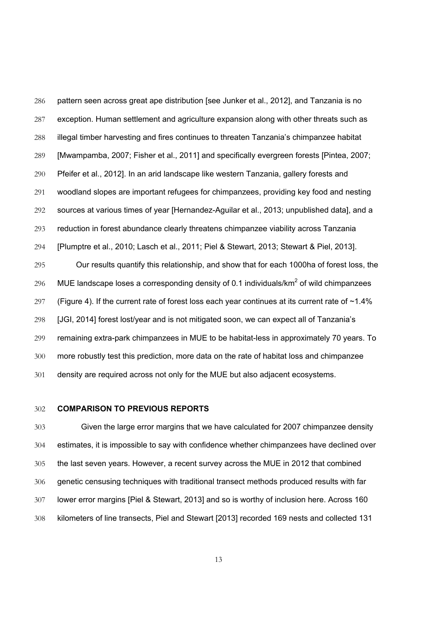pattern seen across great ape distribution [see Junker et al., 2012], and Tanzania is no exception. Human settlement and agriculture expansion along with other threats such as illegal timber harvesting and fires continues to threaten Tanzania's chimpanzee habitat [Mwampamba, 2007; Fisher et al., 2011] and specifically evergreen forests [Pintea, 2007; Pfeifer et al., 2012]. In an arid landscape like western Tanzania, gallery forests and woodland slopes are important refugees for chimpanzees, providing key food and nesting sources at various times of year [Hernandez-Aguilar et al., 2013; unpublished data], and a reduction in forest abundance clearly threatens chimpanzee viability across Tanzania [Plumptre et al., 2010; Lasch et al., 2011; Piel & Stewart, 2013; Stewart & Piel, 2013]. Our results quantify this relationship, and show that for each 1000ha of forest loss, the 296 MUE landscape loses a corresponding density of 0.1 individuals/ $km^2$  of wild chimpanzees 297 (Figure 4). If the current rate of forest loss each year continues at its current rate of  $\sim$ 1.4% [JGI, 2014] forest lost/year and is not mitigated soon, we can expect all of Tanzania's remaining extra-park chimpanzees in MUE to be habitat-less in approximately 70 years. To more robustly test this prediction, more data on the rate of habitat loss and chimpanzee

# **COMPARISON TO PREVIOUS REPORTS**

 Given the large error margins that we have calculated for 2007 chimpanzee density estimates, it is impossible to say with confidence whether chimpanzees have declined over the last seven years. However, a recent survey across the MUE in 2012 that combined genetic censusing techniques with traditional transect methods produced results with far lower error margins [Piel & Stewart, 2013] and so is worthy of inclusion here. Across 160 kilometers of line transects, Piel and Stewart [2013] recorded 169 nests and collected 131

density are required across not only for the MUE but also adjacent ecosystems.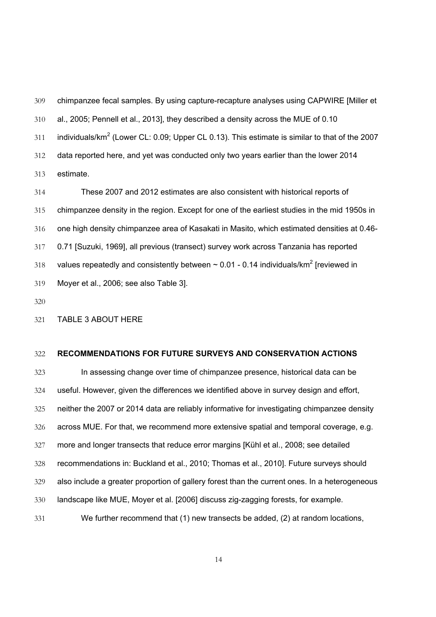chimpanzee fecal samples. By using capture-recapture analyses using CAPWIRE [Miller et al., 2005; Pennell et al., 2013], they described a density across the MUE of 0.10 311 individuals/ $km^2$  (Lower CL: 0.09; Upper CL 0.13). This estimate is similar to that of the 2007 data reported here, and yet was conducted only two years earlier than the lower 2014 estimate.

 These 2007 and 2012 estimates are also consistent with historical reports of chimpanzee density in the region. Except for one of the earliest studies in the mid 1950s in one high density chimpanzee area of Kasakati in Masito, which estimated densities at 0.46- 0.71 [Suzuki, 1969], all previous (transect) survey work across Tanzania has reported 318 values repeatedly and consistently between  $\sim$  0.01 - 0.14 individuals/km<sup>2</sup> [reviewed in Moyer et al., 2006; see also Table 3].

TABLE 3 ABOUT HERE

#### **RECOMMENDATIONS FOR FUTURE SURVEYS AND CONSERVATION ACTIONS**

 In assessing change over time of chimpanzee presence, historical data can be useful. However, given the differences we identified above in survey design and effort, neither the 2007 or 2014 data are reliably informative for investigating chimpanzee density across MUE. For that, we recommend more extensive spatial and temporal coverage, e.g. more and longer transects that reduce error margins [Kühl et al., 2008; see detailed recommendations in: Buckland et al., 2010; Thomas et al., 2010]. Future surveys should also include a greater proportion of gallery forest than the current ones. In a heterogeneous landscape like MUE, Moyer et al. [2006] discuss zig-zagging forests, for example. We further recommend that (1) new transects be added, (2) at random locations,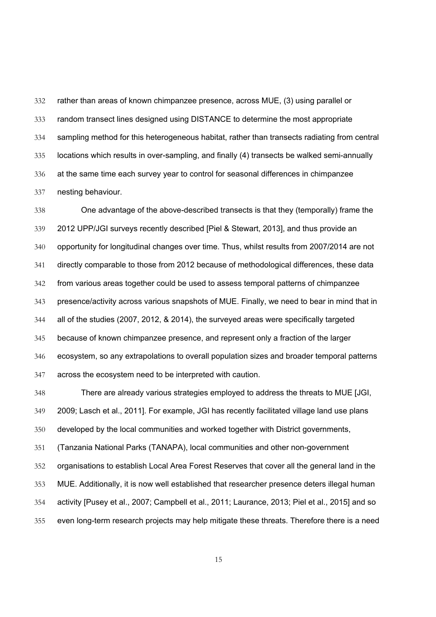rather than areas of known chimpanzee presence, across MUE, (3) using parallel or random transect lines designed using DISTANCE to determine the most appropriate sampling method for this heterogeneous habitat, rather than transects radiating from central locations which results in over-sampling, and finally (4) transects be walked semi-annually at the same time each survey year to control for seasonal differences in chimpanzee nesting behaviour.

 One advantage of the above-described transects is that they (temporally) frame the 2012 UPP/JGI surveys recently described [Piel & Stewart, 2013], and thus provide an opportunity for longitudinal changes over time. Thus, whilst results from 2007/2014 are not directly comparable to those from 2012 because of methodological differences, these data from various areas together could be used to assess temporal patterns of chimpanzee presence/activity across various snapshots of MUE. Finally, we need to bear in mind that in all of the studies (2007, 2012, & 2014), the surveyed areas were specifically targeted because of known chimpanzee presence, and represent only a fraction of the larger ecosystem, so any extrapolations to overall population sizes and broader temporal patterns across the ecosystem need to be interpreted with caution.

 There are already various strategies employed to address the threats to MUE [JGI, 2009; Lasch et al., 2011]. For example, JGI has recently facilitated village land use plans developed by the local communities and worked together with District governments, (Tanzania National Parks (TANAPA), local communities and other non-government organisations to establish Local Area Forest Reserves that cover all the general land in the MUE. Additionally, it is now well established that researcher presence deters illegal human activity [Pusey et al., 2007; Campbell et al., 2011; Laurance, 2013; Piel et al., 2015] and so even long-term research projects may help mitigate these threats. Therefore there is a need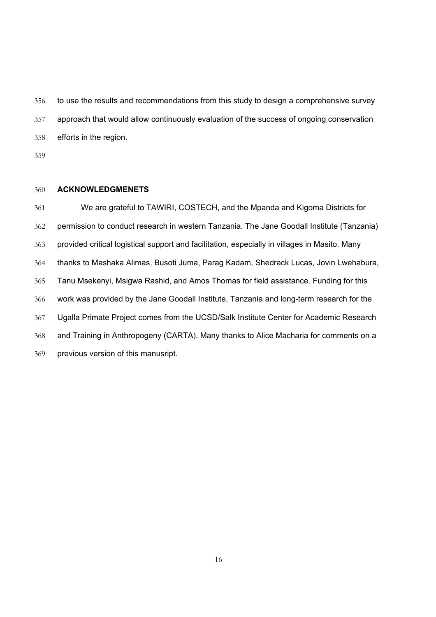to use the results and recommendations from this study to design a comprehensive survey approach that would allow continuously evaluation of the success of ongoing conservation efforts in the region.

# **ACKNOWLEDGMENETS**

 We are grateful to TAWIRI, COSTECH, and the Mpanda and Kigoma Districts for permission to conduct research in western Tanzania. The Jane Goodall Institute (Tanzania) provided critical logistical support and facilitation, especially in villages in Masito. Many thanks to Mashaka Alimas, Busoti Juma, Parag Kadam, Shedrack Lucas, Jovin Lwehabura, Tanu Msekenyi, Msigwa Rashid, and Amos Thomas for field assistance. Funding for this work was provided by the Jane Goodall Institute, Tanzania and long-term research for the Ugalla Primate Project comes from the UCSD/Salk Institute Center for Academic Research and Training in Anthropogeny (CARTA). Many thanks to Alice Macharia for comments on a previous version of this manusript.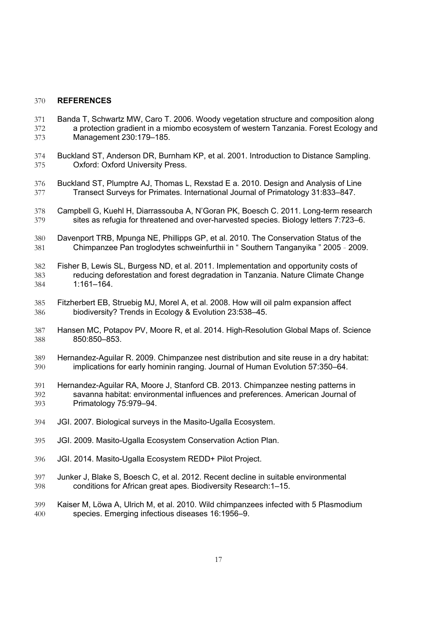# **REFERENCES**

- Banda T, Schwartz MW, Caro T. 2006. Woody vegetation structure and composition along a protection gradient in a miombo ecosystem of western Tanzania. Forest Ecology and Management 230:179–185.
- Buckland ST, Anderson DR, Burnham KP, et al. 2001. Introduction to Distance Sampling. Oxford: Oxford University Press.
- Buckland ST, Plumptre AJ, Thomas L, Rexstad E a. 2010. Design and Analysis of Line Transect Surveys for Primates. International Journal of Primatology 31:833–847.
- Campbell G, Kuehl H, Diarrassouba A, N'Goran PK, Boesch C. 2011. Long-term research sites as refugia for threatened and over-harvested species. Biology letters 7:723–6.
- Davenport TRB, Mpunga NE, Phillipps GP, et al. 2010. The Conservation Status of the Chimpanzee Pan troglodytes schweinfurthii in " Southern Tanganyika " 2005 ‐ 2009.
- Fisher B, Lewis SL, Burgess ND, et al. 2011. Implementation and opportunity costs of reducing deforestation and forest degradation in Tanzania. Nature Climate Change 1:161–164.
- Fitzherbert EB, Struebig MJ, Morel A, et al. 2008. How will oil palm expansion affect biodiversity? Trends in Ecology & Evolution 23:538–45.
- Hansen MC, Potapov PV, Moore R, et al. 2014. High-Resolution Global Maps of. Science 850:850–853.
- Hernandez-Aguilar R. 2009. Chimpanzee nest distribution and site reuse in a dry habitat: implications for early hominin ranging. Journal of Human Evolution 57:350–64.
- Hernandez-Aguilar RA, Moore J, Stanford CB. 2013. Chimpanzee nesting patterns in savanna habitat: environmental influences and preferences. American Journal of Primatology 75:979–94.
- JGI. 2007. Biological surveys in the Masito-Ugalla Ecosystem.
- JGI. 2009. Masito-Ugalla Ecosystem Conservation Action Plan.
- JGI. 2014. Masito-Ugalla Ecosystem REDD+ Pilot Project.
- Junker J, Blake S, Boesch C, et al. 2012. Recent decline in suitable environmental conditions for African great apes. Biodiversity Research:1–15.
- Kaiser M, Löwa A, Ulrich M, et al. 2010. Wild chimpanzees infected with 5 Plasmodium species. Emerging infectious diseases 16:1956–9.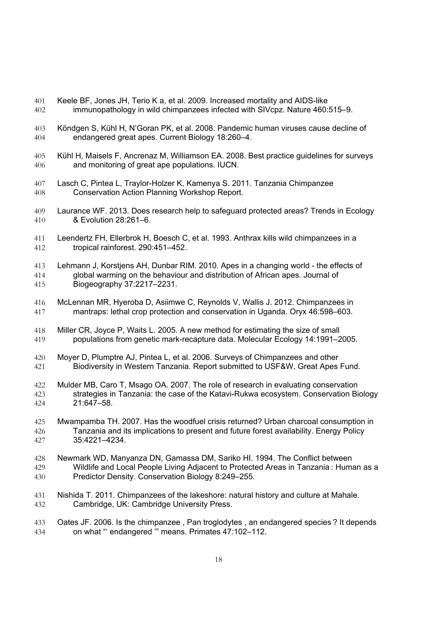- Keele BF, Jones JH, Terio K a, et al. 2009. Increased mortality and AIDS-like immunopathology in wild chimpanzees infected with SIVcpz. Nature 460:515–9.
- Köndgen S, Kühl H, N'Goran PK, et al. 2008. Pandemic human viruses cause decline of endangered great apes. Current Biology 18:260–4.
- Kühl H, Maisels F, Ancrenaz M, Williamson EA. 2008. Best practice guidelines for surveys and monitoring of great ape populations. IUCN.
- Lasch C, Pintea L, Traylor-Holzer K, Kamenya S. 2011. Tanzania Chimpanzee Conservation Action Planning Workshop Report.
- Laurance WF. 2013. Does research help to safeguard protected areas? Trends in Ecology & Evolution 28:261–6.
- Leendertz FH, Ellerbrok H, Boesch C, et al. 1993. Anthrax kills wild chimpanzees in a tropical rainforest. 290:451–452.
- Lehmann J, Korstjens AH, Dunbar RIM. 2010. Apes in a changing world the effects of global warming on the behaviour and distribution of African apes. Journal of Biogeography 37:2217–2231.
- McLennan MR, Hyeroba D, Asiimwe C, Reynolds V, Wallis J. 2012. Chimpanzees in mantraps: lethal crop protection and conservation in Uganda. Oryx 46:598–603.
- Miller CR, Joyce P, Waits L. 2005. A new method for estimating the size of small populations from genetic mark-recapture data. Molecular Ecology 14:1991–2005.
- Moyer D, Plumptre AJ, Pintea L, et al. 2006. Surveys of Chimpanzees and other Biodiversity in Western Tanzania. Report submitted to USF&W, Great Apes Fund.
- Mulder MB, Caro T, Msago OA. 2007. The role of research in evaluating conservation strategies in Tanzania: the case of the Katavi-Rukwa ecosystem. Conservation Biology 21:647–58.
- Mwampamba TH. 2007. Has the woodfuel crisis returned? Urban charcoal consumption in Tanzania and its implications to present and future forest availability. Energy Policy 35:4221–4234.
- Newmark WD, Manyanza DN, Gamassa DM, Sariko HI. 1994. The Conflict between Wildlife and Local People Living Adjacent to Protected Areas in Tanzania : Human as a Predictor Density. Conservation Biology 8:249–255.
- Nishida T. 2011. Chimpanzees of the lakeshore: natural history and culture at Mahale. Cambridge, UK: Cambridge University Press.
- Oates JF. 2006. Is the chimpanzee , Pan troglodytes , an endangered species ? It depends on what "' endangered '" means. Primates 47:102–112.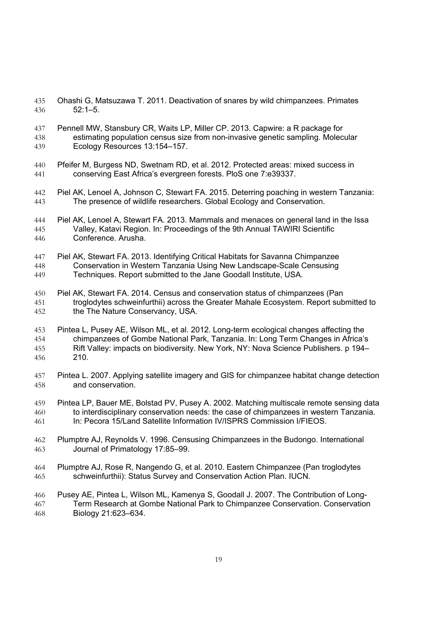- Ohashi G, Matsuzawa T. 2011. Deactivation of snares by wild chimpanzees. Primates 52:1–5.
- Pennell MW, Stansbury CR, Waits LP, Miller CP. 2013. Capwire: a R package for
- estimating population census size from non-invasive genetic sampling. Molecular Ecology Resources 13:154–157.
- Pfeifer M, Burgess ND, Swetnam RD, et al. 2012. Protected areas: mixed success in conserving East Africa's evergreen forests. PloS one 7:e39337.
- Piel AK, Lenoel A, Johnson C, Stewart FA. 2015. Deterring poaching in western Tanzania: The presence of wildlife researchers. Global Ecology and Conservation.
- Piel AK, Lenoel A, Stewart FA. 2013. Mammals and menaces on general land in the Issa Valley, Katavi Region. In: Proceedings of the 9th Annual TAWIRI Scientific Conference. Arusha.

# Piel AK, Stewart FA. 2013. Identifying Critical Habitats for Savanna Chimpanzee Conservation in Western Tanzania Using New Landscape-Scale Censusing Techniques. Report submitted to the Jane Goodall Institute, USA.

- Piel AK, Stewart FA. 2014. Census and conservation status of chimpanzees (Pan troglodytes schweinfurthii) across the Greater Mahale Ecosystem. Report submitted to the The Nature Conservancy, USA.
- Pintea L, Pusey AE, Wilson ML, et al. 2012. Long-term ecological changes affecting the chimpanzees of Gombe National Park, Tanzania. In: Long Term Changes in Africa's Rift Valley: impacts on biodiversity. New York, NY: Nova Science Publishers. p 194– 210.
- Pintea L. 2007. Applying satellite imagery and GIS for chimpanzee habitat change detection and conservation.
- Pintea LP, Bauer ME, Bolstad PV, Pusey A. 2002. Matching multiscale remote sensing data to interdisciplinary conservation needs: the case of chimpanzees in western Tanzania. In: Pecora 15/Land Satellite Information IV/ISPRS Commission I/FIEOS.
- Plumptre AJ, Reynolds V. 1996. Censusing Chimpanzees in the Budongo. International Journal of Primatology 17:85–99.
- Plumptre AJ, Rose R, Nangendo G, et al. 2010. Eastern Chimpanzee (Pan troglodytes schweinfurthii): Status Survey and Conservation Action Plan. IUCN.
- Pusey AE, Pintea L, Wilson ML, Kamenya S, Goodall J. 2007. The Contribution of Long- Term Research at Gombe National Park to Chimpanzee Conservation. Conservation Biology 21:623–634.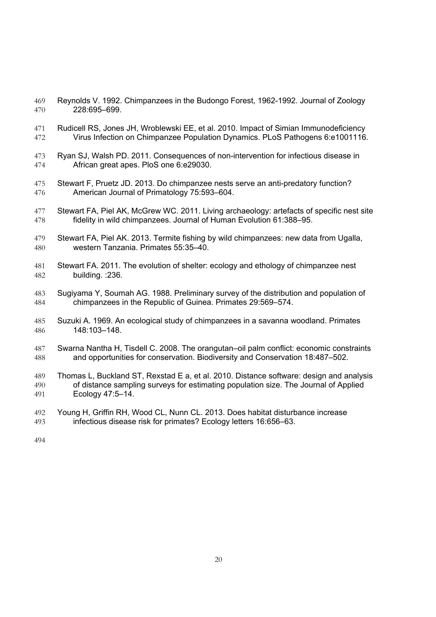- Reynolds V. 1992. Chimpanzees in the Budongo Forest, 1962-1992. Journal of Zoology 228:695–699.
- Rudicell RS, Jones JH, Wroblewski EE, et al. 2010. Impact of Simian Immunodeficiency Virus Infection on Chimpanzee Population Dynamics. PLoS Pathogens 6:e1001116.
- Ryan SJ, Walsh PD. 2011. Consequences of non-intervention for infectious disease in African great apes. PloS one 6:e29030.
- Stewart F, Pruetz JD. 2013. Do chimpanzee nests serve an anti-predatory function? American Journal of Primatology 75:593–604.
- 477 Stewart FA, Piel AK, McGrew WC. 2011. Living archaeology: artefacts of specific nest site fidelity in wild chimpanzees. Journal of Human Evolution 61:388–95.
- Stewart FA, Piel AK. 2013. Termite fishing by wild chimpanzees: new data from Ugalla, western Tanzania. Primates 55:35–40.
- Stewart FA. 2011. The evolution of shelter: ecology and ethology of chimpanzee nest building. :236.
- Sugiyama Y, Soumah AG. 1988. Preliminary survey of the distribution and population of chimpanzees in the Republic of Guinea. Primates 29:569–574.
- Suzuki A. 1969. An ecological study of chimpanzees in a savanna woodland. Primates 148:103–148.
- Swarna Nantha H, Tisdell C. 2008. The orangutan–oil palm conflict: economic constraints and opportunities for conservation. Biodiversity and Conservation 18:487–502.
- Thomas L, Buckland ST, Rexstad E a, et al. 2010. Distance software: design and analysis of distance sampling surveys for estimating population size. The Journal of Applied Ecology 47:5–14.
- Young H, Griffin RH, Wood CL, Nunn CL. 2013. Does habitat disturbance increase infectious disease risk for primates? Ecology letters 16:656–63.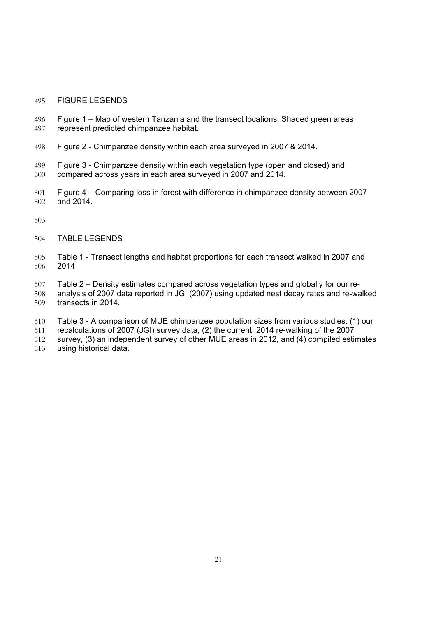### FIGURE LEGENDS

- Figure 1 Map of western Tanzania and the transect locations. Shaded green areas represent predicted chimpanzee habitat.
- Figure 2 Chimpanzee density within each area surveyed in 2007 & 2014.
- Figure 3 Chimpanzee density within each vegetation type (open and closed) and compared across years in each area surveyed in 2007 and 2014.
- Figure 4 Comparing loss in forest with difference in chimpanzee density between 2007 and 2014.
- 
- TABLE LEGENDS
- Table 1 Transect lengths and habitat proportions for each transect walked in 2007 and 2014
- Table 2 Density estimates compared across vegetation types and globally for our re-
- analysis of 2007 data reported in JGI (2007) using updated nest decay rates and re-walked transects in 2014.
- Table 3 A comparison of MUE chimpanzee population sizes from various studies: (1) our
- recalculations of 2007 (JGI) survey data, (2) the current, 2014 re-walking of the 2007
- survey, (3) an independent survey of other MUE areas in 2012, and (4) compiled estimates
- using historical data.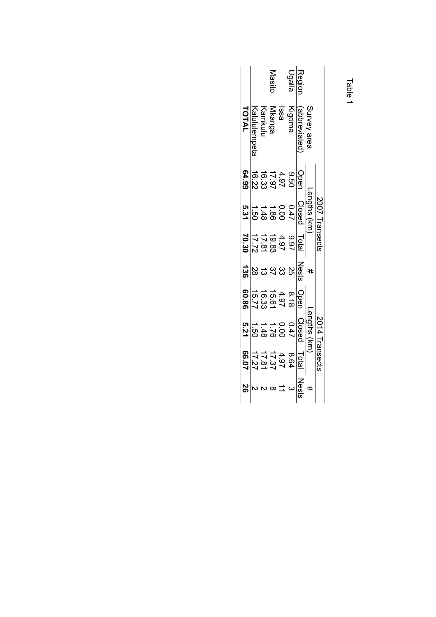| ı |
|---|

|             |             |        | Masito                                             |                            | Ugalla | <b>Region</b> |             |                | Table |
|-------------|-------------|--------|----------------------------------------------------|----------------------------|--------|---------------|-------------|----------------|-------|
| TOTAL       | Kalulempeta | Kamkul | Mkanga                                             | lssa                       | Kigoma | (abbreviated  | Survey area |                |       |
| 64.99       |             |        | 9 4 7 9 9<br>4 9 7 9 3<br>9 7 9 3 9 7<br>9 7 9 9 1 |                            |        | <b>Cpar</b>   |             |                |       |
| თ<br>ს<br>ა |             |        | 0 0 1 0 0<br>4 0 0 4 4 0<br>4 0 0 0 0<br>4 0 0 0   |                            |        | Closed        | Lengths (km | 2007 Transects |       |
| 70.30       |             |        |                                                    |                            |        | Total         |             |                |       |
| 136         | 28          | ದ      |                                                    | 2<br>2<br>2<br>2<br>2<br>2 |        | Nests         | #           |                |       |
| 98'09       |             |        | 8 4 5 6 7<br>1 9 6 7 9 8 7<br>1 9 7 6 7 7          |                            |        | Oper          |             |                |       |
| 5.21        |             |        | 0 0 1 0 0<br>4 0 0 4<br>4 0 0 0<br>4 0 0 0         |                            |        | Closed        | Lengths (km | 2014 Transects |       |
| 20.99       |             |        | 8 8 7 7 8 8<br>8 9 7 8 7 8 7<br>1 7 7 7 7          |                            |        | Total         |             |                |       |
|             |             |        |                                                    |                            |        | Neser         | #           |                |       |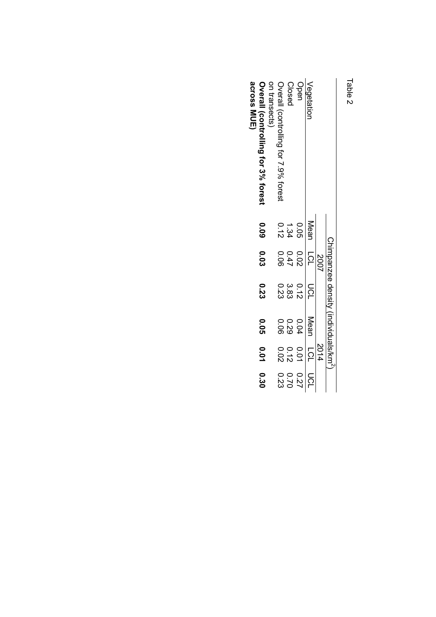| í |
|---|
| ١ |

| Fable 2                                              |                            |                      |                                     |                   |                                  |                              |
|------------------------------------------------------|----------------------------|----------------------|-------------------------------------|-------------------|----------------------------------|------------------------------|
|                                                      |                            |                      | Chinoanzee density (individuals/km- |                   |                                  |                              |
|                                                      |                            | 2007                 |                                     |                   | 2014                             |                              |
| Vegetation                                           | Mean                       | <b>PSL</b>           | DCL                                 | Mean              | <b>PCL</b>                       | pc                           |
| Open                                                 |                            |                      |                                     | <b>D.O4</b>       |                                  |                              |
| Closed                                               | $0.05$<br>$1.34$<br>$0.12$ | 0.02<br>0.47<br>0.06 | 0 3 3 3<br>1 8 3 3<br>0 3 3         | 0 0<br>0 0<br>0 0 | 0 0 0<br>0 1 0<br>0 1 0<br>0 0 0 | 0 0 0<br>2 0 0<br>2 3<br>2 3 |
| Overall (controlling for 7.9% forest<br>on transects |                            |                      |                                     |                   |                                  |                              |
| across MUE)<br>Overall (controlling tor 3% torest    | 600                        | <b>CO.O</b>          | 0.23                                | <b>0.05</b>       | <b>D.O1</b>                      | 0.30                         |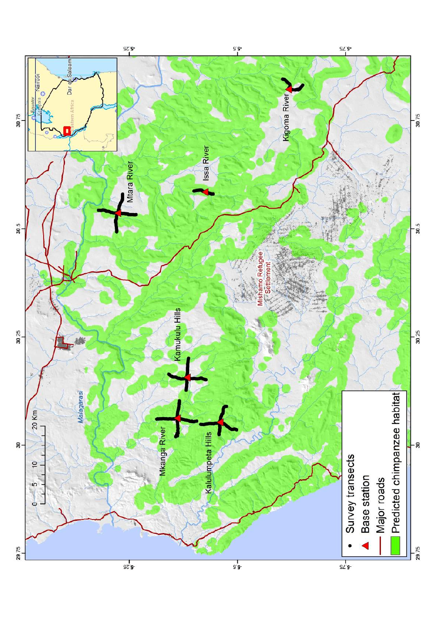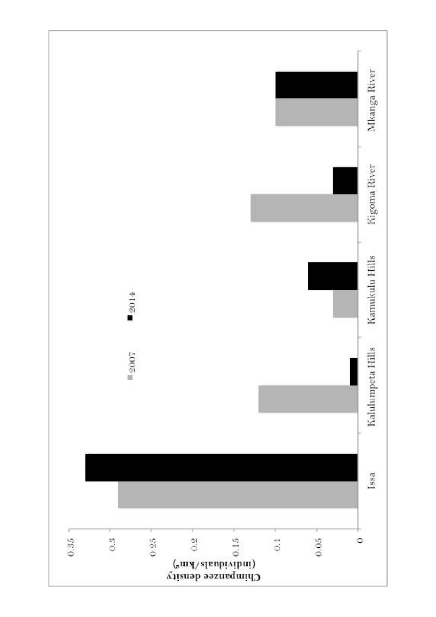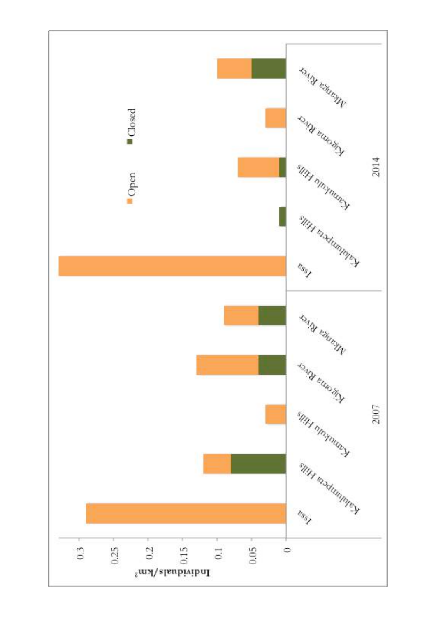